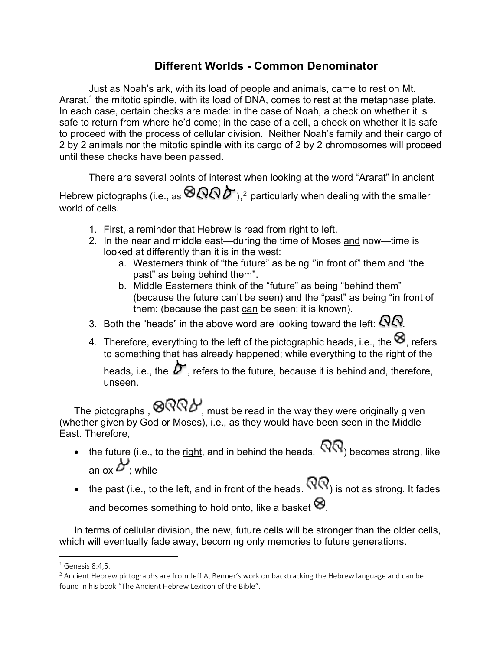## **Different Worlds - Common Denominator**

Just as Noah's ark, with its load of people and animals, came to rest on Mt. Ararat,<sup>1</sup> the mitotic spindle, with its load of DNA, comes to rest at the metaphase plate. In each case, certain checks are made: in the case of Noah, a check on whether it is safe to return from where he'd come; in the case of a cell, a check on whether it is safe to proceed with the process of cellular division. Neither Noah's family and their cargo of 2 by 2 animals nor the mitotic spindle with its cargo of 2 by 2 chromosomes will proceed until these checks have been passed.

There are several points of interest when looking at the word "Ararat" in ancient Hebrew pictographs (i.e., as  $\bigotimes Q \bigotimes P$ ),<sup>2</sup> particularly when dealing with the smaller world of cells.

- 1. First, a reminder that Hebrew is read from right to left.
- 2. In the near and middle east—during the time of Moses and now—time is looked at differently than it is in the west:
	- a. Westerners think of "the future" as being ''in front of" them and "the past" as being behind them".
	- b. Middle Easterners think of the "future" as being "behind them" (because the future can't be seen) and the "past" as being "in front of them: (because the past can be seen; it is known).
- 3. Both the "heads" in the above word are looking toward the left:  $\mathcal{N}\mathcal{N}$ .
- 4. Therefore, everything to the left of the pictographic heads, i.e., the  $\otimes$ , refers to something that has already happened; while everything to the right of the

heads, i.e., the  $\hat{\bm{\nu}}$ , refers to the future, because it is behind and, therefore, unseen.

The pictographs ,  $\bigotimes_{m} Q \cap \bigotimes_{m} P$  must be read in the way they were originally given (whether given by God or Moses), i.e., as they would have been seen in the Middle East. Therefore,

- the future (i.e., to the right, and in behind the heads,  $\widehat{N}(\widehat{N})$  becomes strong, like an ox  $\mathcal{D}'$ : while
- the past (i.e., to the left, and in front of the heads.  $\widehat{\mathsf{NQ}}$  is not as strong. It fades and becomes something to hold onto, like a basket  $\otimes$ .

In terms of cellular division, the new, future cells will be stronger than the older cells, which will eventually fade away, becoming only memories to future generations.

 $<sup>1</sup>$  Genesis 8:4.5.</sup>

 $<sup>2</sup>$  Ancient Hebrew pictographs are from Jeff A, Benner's work on backtracking the Hebrew language and can be</sup> found in his book "The Ancient Hebrew Lexicon of the Bible".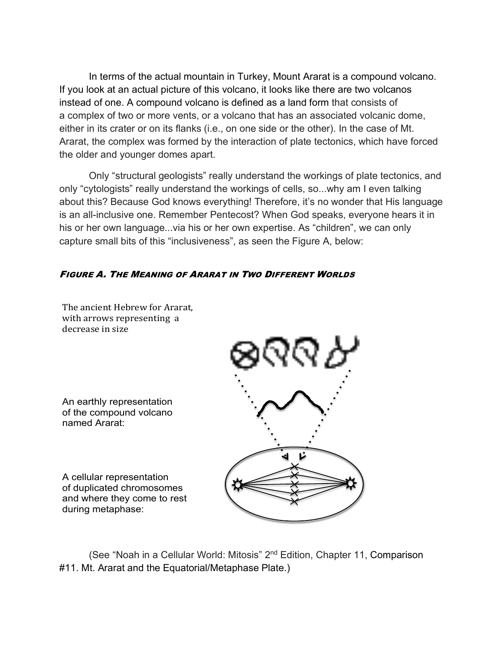In terms of the actual mountain in Turkey, Mount Ararat is a compound volcano. If you look at an actual picture of this volcano, it looks like there are two volcanos instead of one. A compound volcano is defined as a land form that consists of a complex of two or more vents, or a volcano that has an associated volcanic dome, either in its crater or on its flanks (i.e., on one side or the other). In the case of Mt. Ararat, the complex was formed by the interaction of plate tectonics, which have forced the older and younger domes apart.

Only "structural geologists" really understand the workings of plate tectonics, and only "cytologists" really understand the workings of cells, so...why am I even talking about this? Because God knows everything! Therefore, it's no wonder that His language is an all-inclusive one. Remember Pentecost? When God speaks, everyone hears it in his or her own language...via his or her own expertise. As "children", we can only capture small bits of this "inclusiveness", as seen the Figure A, below:

## FIGURE A. THE MEANING OF ARARAT IN TWO DIFFERENT WORLDS



The ancient Hebrew for Ararat, with arrows representing a decrease in size

named Ararat:

A cellular representation of duplicated chromosomes and where they come to rest during metaphase:

(See "Noah in a Cellular World: Mitosis" 2<sup>nd</sup> Edition, Chapter 11, Comparison external and solidar trong, mission 2 next<br>http://webiasemarkand.html?httphase Plate.) fil. Mil. Alaial an